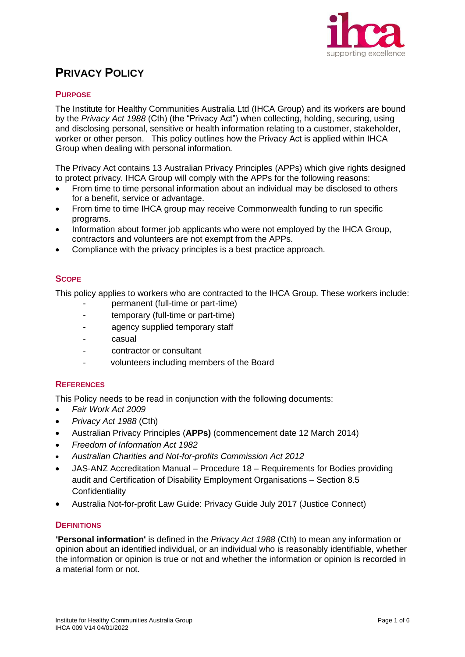

# **PRIVACY POLICY**

## **PURPOSE**

The Institute for Healthy Communities Australia Ltd (IHCA Group) and its workers are bound by the *Privacy Act 1988* (Cth) (the "Privacy Act") when collecting, holding, securing, using and disclosing personal, sensitive or health information relating to a customer, stakeholder, worker or other person. This policy outlines how the Privacy Act is applied within IHCA Group when dealing with personal information*.*

The Privacy Act contains 13 Australian Privacy Principles (APPs) which give rights designed to protect privacy. IHCA Group will comply with the APPs for the following reasons:

- From time to time personal information about an individual may be disclosed to others for a benefit, service or advantage.
- From time to time IHCA group may receive Commonwealth funding to run specific programs.
- Information about former job applicants who were not employed by the IHCA Group, contractors and volunteers are not exempt from the APPs.
- Compliance with the privacy principles is a best practice approach.

## **SCOPE**

This policy applies to workers who are contracted to the IHCA Group. These workers include:

- permanent (full-time or part-time)
- temporary (full-time or part-time)
- agency supplied temporary staff
- casual
- contractor or consultant
- volunteers including members of the Board

## **REFERENCES**

This Policy needs to be read in conjunction with the following documents:

- *Fair Work Act 2009*
- *Privacy Act 1988* (Cth)
- Australian Privacy Principles (**APPs)** (commencement date 12 March 2014)
- *Freedom of Information Act 1982*
- *Australian Charities and Not-for-profits Commission Act 2012*
- JAS-ANZ Accreditation Manual Procedure 18 Requirements for Bodies providing audit and Certification of Disability Employment Organisations – Section 8.5 **Confidentiality**
- Australia Not-for-profit Law Guide: Privacy Guide July 2017 (Justice Connect)

## **DEFINITIONS**

**'Personal information'** is defined in the *Privacy Act 1988* (Cth) to mean any information or opinion about an identified individual, or an individual who is reasonably identifiable, whether the information or opinion is true or not and whether the information or opinion is recorded in a material form or not.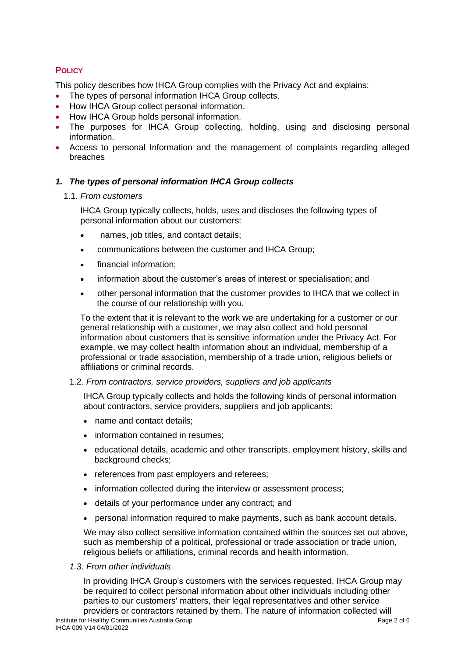# **POLICY**

This policy describes how IHCA Group complies with the Privacy Act and explains:

- The types of personal information IHCA Group collects.
- How IHCA Group collect personal information.
- How IHCA Group holds personal information.
- The purposes for IHCA Group collecting, holding, using and disclosing personal information.
- Access to personal Information and the management of complaints regarding alleged breaches

## *1. The types of personal information IHCA Group collects*

## 1.1. *From customers*

IHCA Group typically collects, holds, uses and discloses the following types of personal information about our customers:

- names, job titles, and contact details;
- communications between the customer and IHCA Group;
- financial information;
- information about the customer's areas of interest or specialisation; and
- other personal information that the customer provides to IHCA that we collect in the course of our relationship with you.

To the extent that it is relevant to the work we are undertaking for a customer or our general relationship with a customer, we may also collect and hold personal information about customers that is sensitive information under the Privacy Act. For example, we may collect health information about an individual, membership of a professional or trade association, membership of a trade union, religious beliefs or affiliations or criminal records.

## 1.2. *From contractors, service providers, suppliers and job applicants*

IHCA Group typically collects and holds the following kinds of personal information about contractors, service providers, suppliers and job applicants:

- name and contact details:
- information contained in resumes:
- educational details, academic and other transcripts, employment history, skills and background checks;
- references from past employers and referees;
- information collected during the interview or assessment process;
- details of your performance under any contract; and
- personal information required to make payments, such as bank account details.

We may also collect sensitive information contained within the sources set out above, such as membership of a political, professional or trade association or trade union, religious beliefs or affiliations, criminal records and health information.

## *1.3. From other individuals*

In providing IHCA Group's customers with the services requested, IHCA Group may be required to collect personal information about other individuals including other parties to our customers' matters, their legal representatives and other service providers or contractors retained by them. The nature of information collected will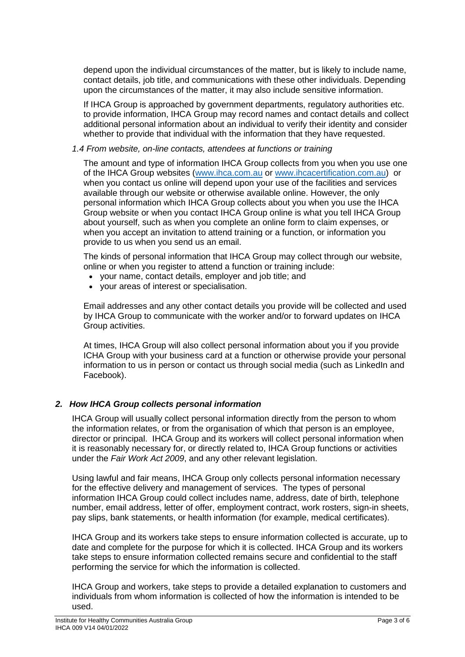depend upon the individual circumstances of the matter, but is likely to include name, contact details, job title, and communications with these other individuals. Depending upon the circumstances of the matter, it may also include sensitive information.

If IHCA Group is approached by government departments, regulatory authorities etc. to provide information, IHCA Group may record names and contact details and collect additional personal information about an individual to verify their identity and consider whether to provide that individual with the information that they have requested.

#### *1.4 From website, on-line contacts, attendees at functions or training*

The amount and type of information IHCA Group collects from you when you use one of the IHCA Group websites [\(www.ihca.com.au](http://www.ihca.com.au/) or [www.ihcacertification.com.au\)](http://www.ihcacertification.com.au/) or when you contact us online will depend upon your use of the facilities and services available through our website or otherwise available online. However, the only personal information which IHCA Group collects about you when you use the IHCA Group website or when you contact IHCA Group online is what you tell IHCA Group about yourself, such as when you complete an online form to claim expenses, or when you accept an invitation to attend training or a function, or information you provide to us when you send us an email.

The kinds of personal information that IHCA Group may collect through our website, online or when you register to attend a function or training include:

- your name, contact details, employer and job title; and
- your areas of interest or specialisation.

Email addresses and any other contact details you provide will be collected and used by IHCA Group to communicate with the worker and/or to forward updates on IHCA Group activities.

At times, IHCA Group will also collect personal information about you if you provide ICHA Group with your business card at a function or otherwise provide your personal information to us in person or contact us through social media (such as LinkedIn and Facebook).

## *2. How IHCA Group collects personal information*

IHCA Group will usually collect personal information directly from the person to whom the information relates, or from the organisation of which that person is an employee, director or principal. IHCA Group and its workers will collect personal information when it is reasonably necessary for, or directly related to, IHCA Group functions or activities under the *Fair Work Act 2009*, and any other relevant legislation.

Using lawful and fair means, IHCA Group only collects personal information necessary for the effective delivery and management of services. The types of personal information IHCA Group could collect includes name, address, date of birth, telephone number, email address, letter of offer, employment contract, work rosters, sign-in sheets, pay slips, bank statements, or health information (for example, medical certificates).

IHCA Group and its workers take steps to ensure information collected is accurate, up to date and complete for the purpose for which it is collected. IHCA Group and its workers take steps to ensure information collected remains secure and confidential to the staff performing the service for which the information is collected.

IHCA Group and workers, take steps to provide a detailed explanation to customers and individuals from whom information is collected of how the information is intended to be used.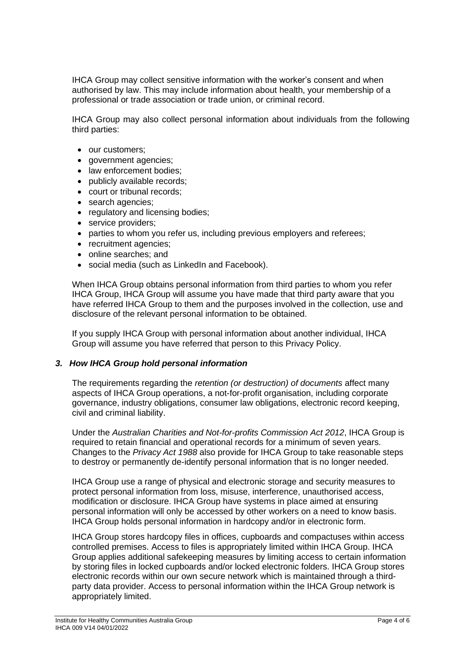IHCA Group may collect sensitive information with the worker's consent and when authorised by law. This may include information about health, your membership of a professional or trade association or trade union, or criminal record.

IHCA Group may also collect personal information about individuals from the following third parties:

- our customers;
- government agencies;
- law enforcement bodies;
- publicly available records;
- court or tribunal records;
- search agencies:
- regulatory and licensing bodies;
- service providers;
- parties to whom you refer us, including previous employers and referees;
- recruitment agencies;
- online searches; and
- social media (such as LinkedIn and Facebook).

When IHCA Group obtains personal information from third parties to whom you refer IHCA Group, IHCA Group will assume you have made that third party aware that you have referred IHCA Group to them and the purposes involved in the collection, use and disclosure of the relevant personal information to be obtained.

If you supply IHCA Group with personal information about another individual, IHCA Group will assume you have referred that person to this Privacy Policy.

## *3. How IHCA Group hold personal information*

The requirements regarding the *retention (or destruction) of documents* affect many aspects of IHCA Group operations, a not-for-profit organisation, including corporate governance, industry obligations, consumer law obligations, electronic record keeping, civil and criminal liability.

Under the *Australian Charities and Not-for-profits Commission Act 2012*, IHCA Group is required to retain financial and operational records for a minimum of seven years. Changes to the *Privacy Act 1988* also provide for IHCA Group to take reasonable steps to destroy or permanently de-identify personal information that is no longer needed.

IHCA Group use a range of physical and electronic storage and security measures to protect personal information from loss, misuse, interference, unauthorised access, modification or disclosure. IHCA Group have systems in place aimed at ensuring personal information will only be accessed by other workers on a need to know basis. IHCA Group holds personal information in hardcopy and/or in electronic form.

IHCA Group stores hardcopy files in offices, cupboards and compactuses within access controlled premises. Access to files is appropriately limited within IHCA Group. IHCA Group applies additional safekeeping measures by limiting access to certain information by storing files in locked cupboards and/or locked electronic folders. IHCA Group stores electronic records within our own secure network which is maintained through a thirdparty data provider. Access to personal information within the IHCA Group network is appropriately limited.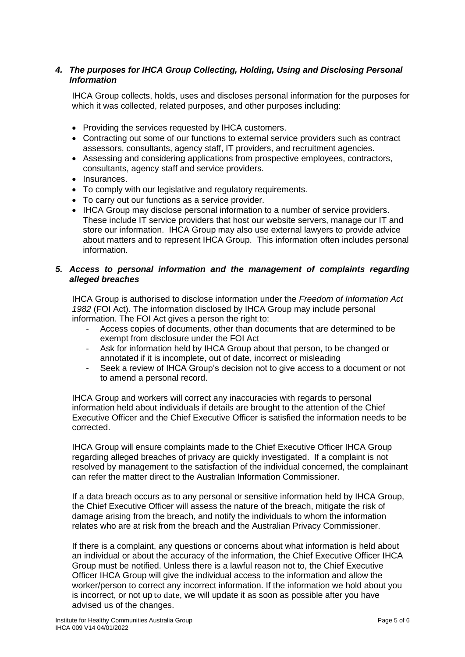## *4. The purposes for IHCA Group Collecting, Holding, Using and Disclosing Personal Information*

IHCA Group collects, holds, uses and discloses personal information for the purposes for which it was collected, related purposes, and other purposes including:

- Providing the services requested by IHCA customers.
- Contracting out some of our functions to external service providers such as contract assessors, consultants, agency staff, IT providers, and recruitment agencies.
- Assessing and considering applications from prospective employees, contractors, consultants, agency staff and service providers.
- Insurances.
- To comply with our legislative and regulatory requirements.
- To carry out our functions as a service provider.
- IHCA Group may disclose personal information to a number of service providers. These include IT service providers that host our website servers, manage our IT and store our information. IHCA Group may also use external lawyers to provide advice about matters and to represent IHCA Group. This information often includes personal information.

## *5. Access to personal information and the management of complaints regarding alleged breaches*

IHCA Group is authorised to disclose information under the *Freedom of Information Act 1982* (FOI Act). The information disclosed by IHCA Group may include personal information. The FOI Act gives a person the right to:

- Access copies of documents, other than documents that are determined to be exempt from disclosure under the FOI Act
- Ask for information held by IHCA Group about that person, to be changed or annotated if it is incomplete, out of date, incorrect or misleading
- Seek a review of IHCA Group's decision not to give access to a document or not to amend a personal record.

IHCA Group and workers will correct any inaccuracies with regards to personal information held about individuals if details are brought to the attention of the Chief Executive Officer and the Chief Executive Officer is satisfied the information needs to be corrected.

IHCA Group will ensure complaints made to the Chief Executive Officer IHCA Group regarding alleged breaches of privacy are quickly investigated. If a complaint is not resolved by management to the satisfaction of the individual concerned, the complainant can refer the matter direct to the Australian Information Commissioner.

If a data breach occurs as to any personal or sensitive information held by IHCA Group, the Chief Executive Officer will assess the nature of the breach, mitigate the risk of damage arising from the breach, and notify the individuals to whom the information relates who are at risk from the breach and the Australian Privacy Commissioner.

If there is a complaint, any questions or concerns about what information is held about an individual or about the accuracy of the information, the Chief Executive Officer IHCA Group must be notified. Unless there is a lawful reason not to, the Chief Executive Officer IHCA Group will give the individual access to the information and allow the worker/person to correct any incorrect information. If the information we hold about you is incorrect, or not up to date, we will update it as soon as possible after you have advised us of the changes.